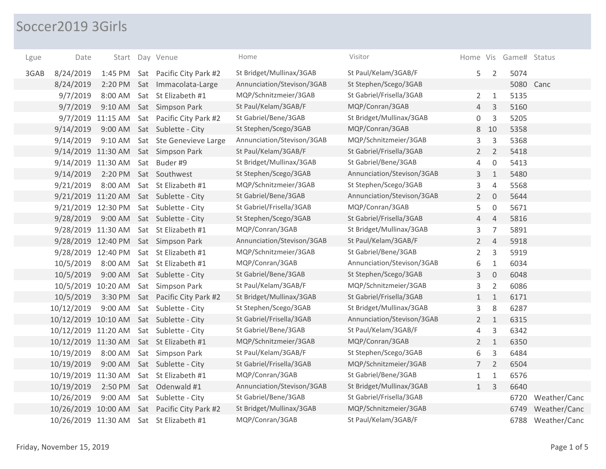## Soccer2019 3Girls

| Lgue | Date                |                   |     | Start Day Venue                     | Home                       | Visitor                    |                |                     | Home Vis Game# Status |              |
|------|---------------------|-------------------|-----|-------------------------------------|----------------------------|----------------------------|----------------|---------------------|-----------------------|--------------|
| 3GAB | 8/24/2019           | 1:45 PM           |     | Sat Pacific City Park #2            | St Bridget/Mullinax/3GAB   | St Paul/Kelam/3GAB/F       | 5              | $\overline{2}$      | 5074                  |              |
|      | 8/24/2019           |                   |     | 2:20 PM Sat Immacolata-Large        | Annunciation/Stevison/3GAB | St Stephen/Scego/3GAB      |                |                     | 5080                  | Canc         |
|      | 9/7/2019            | 8:00 AM           |     | Sat St Elizabeth #1                 | MQP/Schnitzmeier/3GAB      | St Gabriel/Frisella/3GAB   | $\overline{2}$ | $\mathbf{1}$        | 5135                  |              |
|      | 9/7/2019            | $9:10$ AM         |     | Sat Simpson Park                    | St Paul/Kelam/3GAB/F       | MQP/Conran/3GAB            | $\overline{4}$ | 3                   | 5160                  |              |
|      |                     | 9/7/2019 11:15 AM |     | Sat Pacific City Park #2            | St Gabriel/Bene/3GAB       | St Bridget/Mullinax/3GAB   | 0              | 3                   | 5205                  |              |
|      | 9/14/2019           | 9:00 AM           |     | Sat Sublette - City                 | St Stephen/Scego/3GAB      | MQP/Conran/3GAB            | 8              | 10                  | 5358                  |              |
|      | 9/14/2019           |                   |     | 9:10 AM Sat Ste Genevieve Large     | Annunciation/Stevison/3GAB | MQP/Schnitzmeier/3GAB      | 3              | 3                   | 5368                  |              |
|      |                     |                   |     | 9/14/2019 11:30 AM Sat Simpson Park | St Paul/Kelam/3GAB/F       | St Gabriel/Frisella/3GAB   | $\overline{2}$ | $\overline{2}$      | 5418                  |              |
|      | 9/14/2019 11:30 AM  |                   |     | Sat Buder #9                        | St Bridget/Mullinax/3GAB   | St Gabriel/Bene/3GAB       | 4              | $\mathsf{O}\xspace$ | 5413                  |              |
|      | 9/14/2019           | 2:20 PM           |     | Sat Southwest                       | St Stephen/Scego/3GAB      | Annunciation/Stevison/3GAB | 3              | $1\,$               | 5480                  |              |
|      | 9/21/2019           | 8:00 AM           |     | Sat St Elizabeth #1                 | MQP/Schnitzmeier/3GAB      | St Stephen/Scego/3GAB      | 3              | $\overline{4}$      | 5568                  |              |
|      | 9/21/2019 11:20 AM  |                   |     | Sat Sublette - City                 | St Gabriel/Bene/3GAB       | Annunciation/Stevison/3GAB | $2^{\circ}$    | $\overline{0}$      | 5644                  |              |
|      | 9/21/2019 12:30 PM  |                   |     | Sat Sublette - City                 | St Gabriel/Frisella/3GAB   | MQP/Conran/3GAB            | 5              | $\mathbf 0$         | 5671                  |              |
|      | 9/28/2019           | 9:00 AM           |     | Sat Sublette - City                 | St Stephen/Scego/3GAB      | St Gabriel/Frisella/3GAB   | 4              | $\overline{4}$      | 5816                  |              |
|      | 9/28/2019 11:30 AM  |                   |     | Sat St Elizabeth #1                 | MQP/Conran/3GAB            | St Bridget/Mullinax/3GAB   | 3              | $\overline{7}$      | 5891                  |              |
|      |                     |                   |     | 9/28/2019 12:40 PM Sat Simpson Park | Annunciation/Stevison/3GAB | St Paul/Kelam/3GAB/F       | $\overline{2}$ | $\overline{4}$      | 5918                  |              |
|      | 9/28/2019 12:40 PM  |                   |     | Sat St Elizabeth #1                 | MQP/Schnitzmeier/3GAB      | St Gabriel/Bene/3GAB       | 2              | 3                   | 5919                  |              |
|      | 10/5/2019           | 8:00 AM           |     | Sat St Elizabeth #1                 | MQP/Conran/3GAB            | Annunciation/Stevison/3GAB | 6              | $\mathbf{1}$        | 6034                  |              |
|      | 10/5/2019           | 9:00 AM           |     | Sat Sublette - City                 | St Gabriel/Bene/3GAB       | St Stephen/Scego/3GAB      | 3              | $\mathbf 0$         | 6048                  |              |
|      | 10/5/2019 10:20 AM  |                   |     | Sat Simpson Park                    | St Paul/Kelam/3GAB/F       | MQP/Schnitzmeier/3GAB      | 3              | $\overline{2}$      | 6086                  |              |
|      | 10/5/2019           |                   |     | 3:30 PM Sat Pacific City Park #2    | St Bridget/Mullinax/3GAB   | St Gabriel/Frisella/3GAB   | $\mathbf{1}$   | $\mathbf{1}$        | 6171                  |              |
|      | 10/12/2019          | 9:00 AM           |     | Sat Sublette - City                 | St Stephen/Scego/3GAB      | St Bridget/Mullinax/3GAB   | 3              | 8                   | 6287                  |              |
|      | 10/12/2019 10:10 AM |                   |     | Sat Sublette - City                 | St Gabriel/Frisella/3GAB   | Annunciation/Stevison/3GAB | $\overline{2}$ | $\mathbf{1}$        | 6315                  |              |
|      | 10/12/2019 11:20 AM |                   |     | Sat Sublette - City                 | St Gabriel/Bene/3GAB       | St Paul/Kelam/3GAB/F       | 4              | 3                   | 6342                  |              |
|      | 10/12/2019 11:30 AM |                   |     | Sat St Elizabeth #1                 | MQP/Schnitzmeier/3GAB      | MQP/Conran/3GAB            | $\overline{2}$ | $\mathbf{1}$        | 6350                  |              |
|      | 10/19/2019          | 8:00 AM           |     | Sat Simpson Park                    | St Paul/Kelam/3GAB/F       | St Stephen/Scego/3GAB      | 6              | 3                   | 6484                  |              |
|      | 10/19/2019          | 9:00 AM           |     | Sat Sublette - City                 | St Gabriel/Frisella/3GAB   | MQP/Schnitzmeier/3GAB      | $\overline{7}$ | $\overline{2}$      | 6504                  |              |
|      | 10/19/2019 11:30 AM |                   |     | Sat St Elizabeth #1                 | MQP/Conran/3GAB            | St Gabriel/Bene/3GAB       | $\mathbf{1}$   | $\mathbf{1}$        | 6576                  |              |
|      | 10/19/2019          | 2:50 PM           |     | Sat Odenwald #1                     | Annunciation/Stevison/3GAB | St Bridget/Mullinax/3GAB   | 1              | $\mathbf{3}$        | 6640                  |              |
|      | 10/26/2019          | 9:00 AM           |     | Sat Sublette - City                 | St Gabriel/Bene/3GAB       | St Gabriel/Frisella/3GAB   |                |                     | 6720                  | Weather/Canc |
|      | 10/26/2019 10:00 AM |                   | Sat | Pacific City Park #2                | St Bridget/Mullinax/3GAB   | MQP/Schnitzmeier/3GAB      |                |                     | 6749                  | Weather/Canc |
|      | 10/26/2019 11:30 AM |                   |     | Sat St Elizabeth #1                 | MQP/Conran/3GAB            | St Paul/Kelam/3GAB/F       |                |                     | 6788                  | Weather/Canc |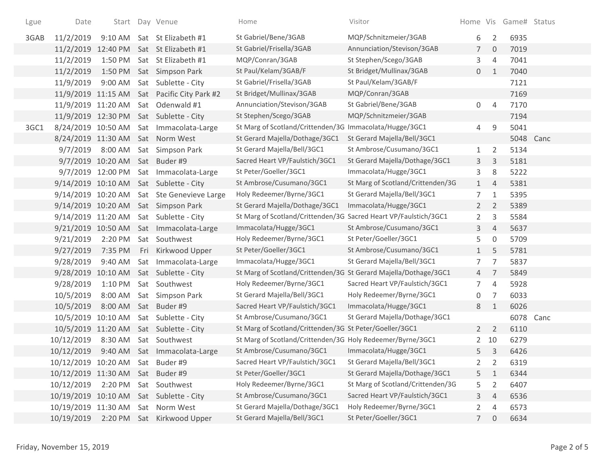| Lgue | Date                              |                                | Start Day Venue                             | Home                                                             | Visitor                           |                |                | Home Vis Game# Status |      |
|------|-----------------------------------|--------------------------------|---------------------------------------------|------------------------------------------------------------------|-----------------------------------|----------------|----------------|-----------------------|------|
| 3GAB | 11/2/2019                         |                                | 9:10 AM Sat St Elizabeth #1                 | St Gabriel/Bene/3GAB                                             | MQP/Schnitzmeier/3GAB             | 6              | 2              | 6935                  |      |
|      |                                   |                                | 11/2/2019 12:40 PM Sat St Elizabeth #1      | St Gabriel/Frisella/3GAB                                         | Annunciation/Stevison/3GAB        | $7^{\circ}$    | $\overline{0}$ | 7019                  |      |
|      | 11/2/2019                         |                                | 1:50 PM Sat St Elizabeth #1                 | MQP/Conran/3GAB                                                  | St Stephen/Scego/3GAB             | 3              | $\overline{4}$ | 7041                  |      |
|      | 11/2/2019                         |                                | 1:50 PM Sat Simpson Park                    | St Paul/Kelam/3GAB/F                                             | St Bridget/Mullinax/3GAB          | $\overline{0}$ | $\mathbf{1}$   | 7040                  |      |
|      | 11/9/2019                         |                                | 9:00 AM Sat Sublette - City                 | St Gabriel/Frisella/3GAB                                         | St Paul/Kelam/3GAB/F              |                |                | 7121                  |      |
|      |                                   |                                | 11/9/2019 11:15 AM Sat Pacific City Park #2 | St Bridget/Mullinax/3GAB                                         | MQP/Conran/3GAB                   |                |                | 7169                  |      |
|      |                                   |                                | 11/9/2019 11:20 AM Sat Odenwald #1          | Annunciation/Stevison/3GAB                                       | St Gabriel/Bene/3GAB              | $\overline{0}$ | $\overline{4}$ | 7170                  |      |
|      |                                   |                                | 11/9/2019 12:30 PM Sat Sublette - City      | St Stephen/Scego/3GAB                                            | MQP/Schnitzmeier/3GAB             |                |                | 7194                  |      |
| 3GC1 |                                   |                                | 8/24/2019 10:50 AM Sat Immacolata-Large     | St Marg of Scotland/Crittenden/3G Immacolata/Hugge/3GC1          |                                   | 4              | 9              | 5041                  |      |
|      |                                   |                                | 8/24/2019 11:30 AM Sat Norm West            | St Gerard Majella/Dothage/3GC1                                   | St Gerard Majella/Bell/3GC1       |                |                | 5048                  | Canc |
|      | 9/7/2019                          |                                | 8:00 AM Sat Simpson Park                    | St Gerard Majella/Bell/3GC1                                      | St Ambrose/Cusumano/3GC1          | 1              | $\overline{2}$ | 5134                  |      |
|      |                                   | 9/7/2019 10:20 AM Sat Buder #9 |                                             | Sacred Heart VP/Faulstich/3GC1                                   | St Gerard Majella/Dothage/3GC1    | 3              | 3              | 5181                  |      |
|      |                                   |                                | 9/7/2019 12:00 PM Sat Immacolata-Large      | St Peter/Goeller/3GC1                                            | Immacolata/Hugge/3GC1             | 3              | 8              | 5222                  |      |
|      |                                   |                                | 9/14/2019 10:10 AM Sat Sublette - City      | St Ambrose/Cusumano/3GC1                                         | St Marg of Scotland/Crittenden/3G | 1              | $\overline{4}$ | 5381                  |      |
|      |                                   |                                | 9/14/2019 10:20 AM Sat Ste Genevieve Large  | Holy Redeemer/Byrne/3GC1                                         | St Gerard Majella/Bell/3GC1       | $\overline{7}$ | $\mathbf{1}$   | 5395                  |      |
|      |                                   |                                | 9/14/2019 10:20 AM Sat Simpson Park         | St Gerard Majella/Dothage/3GC1                                   | Immacolata/Hugge/3GC1             | $2^{\circ}$    | 2              | 5389                  |      |
|      |                                   |                                | 9/14/2019 11:20 AM Sat Sublette - City      | St Marg of Scotland/Crittenden/3G Sacred Heart VP/Faulstich/3GC1 |                                   | $\overline{2}$ | 3              | 5584                  |      |
|      |                                   |                                | 9/21/2019 10:50 AM Sat Immacolata-Large     | Immacolata/Hugge/3GC1                                            | St Ambrose/Cusumano/3GC1          | 3              | 4              | 5637                  |      |
|      | 9/21/2019                         |                                | 2:20 PM Sat Southwest                       | Holy Redeemer/Byrne/3GC1                                         | St Peter/Goeller/3GC1             | 5.             | $\mathbf 0$    | 5709                  |      |
|      | 9/27/2019                         |                                | 7:35 PM Fri Kirkwood Upper                  | St Peter/Goeller/3GC1                                            | St Ambrose/Cusumano/3GC1          | 1              | 5              | 5781                  |      |
|      | 9/28/2019                         |                                | 9:40 AM Sat Immacolata-Large                | Immacolata/Hugge/3GC1                                            | St Gerard Majella/Bell/3GC1       | 7 <sup>7</sup> | $\overline{7}$ | 5837                  |      |
|      |                                   |                                | 9/28/2019 10:10 AM Sat Sublette - City      | St Marg of Scotland/Crittenden/3G St Gerard Majella/Dothage/3GC1 |                                   | 4              | $\overline{7}$ | 5849                  |      |
|      | 9/28/2019                         |                                | 1:10 PM Sat Southwest                       | Holy Redeemer/Byrne/3GC1                                         | Sacred Heart VP/Faulstich/3GC1    | 7              | $\overline{4}$ | 5928                  |      |
|      | 10/5/2019                         |                                | 8:00 AM Sat Simpson Park                    | St Gerard Majella/Bell/3GC1                                      | Holy Redeemer/Byrne/3GC1          | 0              | 7              | 6033                  |      |
|      | 10/5/2019                         |                                | 8:00 AM Sat Buder #9                        | Sacred Heart VP/Faulstich/3GC1                                   | Immacolata/Hugge/3GC1             | 8              | 1              | 6026                  |      |
|      |                                   |                                | 10/5/2019 10:10 AM Sat Sublette - City      | St Ambrose/Cusumano/3GC1                                         | St Gerard Majella/Dothage/3GC1    |                |                | 6078 Canc             |      |
|      |                                   |                                | 10/5/2019 11:20 AM Sat Sublette - City      | St Marg of Scotland/Crittenden/3G St Peter/Goeller/3GC1          |                                   | $2^{\circ}$    | $\overline{2}$ | 6110                  |      |
|      | 10/12/2019                        |                                | 8:30 AM Sat Southwest                       | St Marg of Scotland/Crittenden/3G Holy Redeemer/Byrne/3GC1       |                                   |                | 2 10           | 6279                  |      |
|      | 10/12/2019                        |                                | 9:40 AM Sat Immacolata-Large                | St Ambrose/Cusumano/3GC1                                         | Immacolata/Hugge/3GC1             | 5              | 3              | 6426                  |      |
|      | 10/12/2019 10:20 AM Sat Buder #9  |                                |                                             | Sacred Heart VP/Faulstich/3GC1                                   | St Gerard Majella/Bell/3GC1       |                |                | 6319                  |      |
|      | 10/12/2019 11:30 AM Sat Buder #9  |                                |                                             | St Peter/Goeller/3GC1                                            | St Gerard Majella/Dothage/3GC1    | 5.             | $\mathbf{1}$   | 6344                  |      |
|      | 10/12/2019                        |                                | 2:20 PM Sat Southwest                       | Holy Redeemer/Byrne/3GC1                                         | St Marg of Scotland/Crittenden/3G | 5              | $\overline{2}$ | 6407                  |      |
|      |                                   |                                | 10/19/2019 10:10 AM Sat Sublette - City     | St Ambrose/Cusumano/3GC1                                         | Sacred Heart VP/Faulstich/3GC1    | 3              | 4              | 6536                  |      |
|      | 10/19/2019 11:30 AM Sat Norm West |                                |                                             | St Gerard Majella/Dothage/3GC1                                   | Holy Redeemer/Byrne/3GC1          | $\mathbf{2}$   | 4              | 6573                  |      |
|      | 10/19/2019                        |                                | 2:20 PM Sat Kirkwood Upper                  | St Gerard Majella/Bell/3GC1                                      | St Peter/Goeller/3GC1             | $7^{\circ}$    | 0              | 6634                  |      |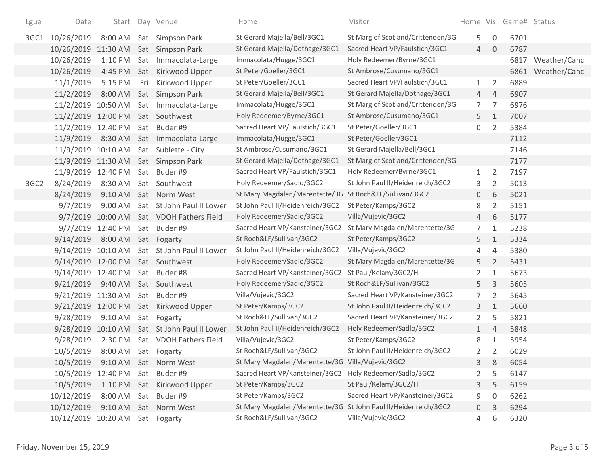| Lgue             | Date                |           |     | Start Day Venue                          | Home                                                            | Visitor                           |                 |                | Home Vis Game# Status |              |
|------------------|---------------------|-----------|-----|------------------------------------------|-----------------------------------------------------------------|-----------------------------------|-----------------|----------------|-----------------------|--------------|
| 3GC1             | 10/26/2019          | 8:00 AM   |     | Sat Simpson Park                         | St Gerard Majella/Bell/3GC1                                     | St Marg of Scotland/Crittenden/3G | 5               | 0              | 6701                  |              |
|                  | 10/26/2019          | 11:30 AM  |     | Sat Simpson Park                         | St Gerard Majella/Dothage/3GC1                                  | Sacred Heart VP/Faulstich/3GC1    | $\overline{4}$  | $\Omega$       | 6787                  |              |
|                  | 10/26/2019          | 1:10 PM   |     | Sat Immacolata-Large                     | Immacolata/Hugge/3GC1                                           | Holy Redeemer/Byrne/3GC1          |                 |                | 6817                  | Weather/Canc |
|                  | 10/26/2019          | 4:45 PM   |     | Sat Kirkwood Upper                       | St Peter/Goeller/3GC1                                           | St Ambrose/Cusumano/3GC1          |                 |                | 6861                  | Weather/Canc |
|                  | 11/1/2019           | 5:15 PM   | Fri | Kirkwood Upper                           | St Peter/Goeller/3GC1                                           | Sacred Heart VP/Faulstich/3GC1    | $\mathbf{1}$    | 2              | 6889                  |              |
|                  | 11/2/2019           | 8:00 AM   |     | Sat Simpson Park                         | St Gerard Majella/Bell/3GC1                                     | St Gerard Majella/Dothage/3GC1    | $\overline{4}$  | $\overline{4}$ | 6907                  |              |
|                  | 11/2/2019 10:50 AM  |           |     | Sat Immacolata-Large                     | Immacolata/Hugge/3GC1                                           | St Marg of Scotland/Crittenden/3G | $7\overline{ }$ | $\overline{7}$ | 6976                  |              |
|                  | 11/2/2019 12:00 PM  |           |     | Sat Southwest                            | Holy Redeemer/Byrne/3GC1                                        | St Ambrose/Cusumano/3GC1          | 5               | $\mathbf{1}$   | 7007                  |              |
|                  | 11/2/2019 12:40 PM  |           |     | Sat Buder #9                             | Sacred Heart VP/Faulstich/3GC1                                  | St Peter/Goeller/3GC1             | 0               | $\overline{2}$ | 5384                  |              |
|                  | 11/9/2019           |           |     | 8:30 AM Sat Immacolata-Large             | Immacolata/Hugge/3GC1                                           | St Peter/Goeller/3GC1             |                 |                | 7112                  |              |
|                  | 11/9/2019 10:10 AM  |           |     | Sat Sublette - City                      | St Ambrose/Cusumano/3GC1                                        | St Gerard Majella/Bell/3GC1       |                 |                | 7146                  |              |
|                  | 11/9/2019 11:30 AM  |           |     | Sat Simpson Park                         | St Gerard Majella/Dothage/3GC1                                  | St Marg of Scotland/Crittenden/3G |                 |                | 7177                  |              |
|                  | 11/9/2019 12:40 PM  |           |     | Sat Buder #9                             | Sacred Heart VP/Faulstich/3GC1                                  | Holy Redeemer/Byrne/3GC1          | $\mathbf{1}$    | 2              | 7197                  |              |
| 3GC <sub>2</sub> | 8/24/2019           | 8:30 AM   |     | Sat Southwest                            | Holy Redeemer/Sadlo/3GC2                                        | St John Paul II/Heidenreich/3GC2  | 3               | 2              | 5013                  |              |
|                  | 8/24/2019           | $9:10$ AM |     | Sat Norm West                            | St Mary Magdalen/Marentette/3G St Roch&LF/Sullivan/3GC2         |                                   | 0               | 6              | 5021                  |              |
|                  | 9/7/2019            | 9:00 AM   |     | Sat St John Paul II Lower                | St John Paul II/Heidenreich/3GC2                                | St Peter/Kamps/3GC2               | 8               | $\overline{2}$ | 5151                  |              |
|                  |                     |           |     | 9/7/2019 10:00 AM Sat VDOH Fathers Field | Holy Redeemer/Sadlo/3GC2                                        | Villa/Vujevic/3GC2                | 4               | 6              | 5177                  |              |
|                  | 9/7/2019            | 12:40 PM  |     | Sat Buder #9                             | Sacred Heart VP/Kansteiner/3GC2                                 | St Mary Magdalen/Marentette/3G    | 7               | $\mathbf{1}$   | 5238                  |              |
|                  | 9/14/2019           | 8:00 AM   |     | Sat Fogarty                              | St Roch&LF/Sullivan/3GC2                                        | St Peter/Kamps/3GC2               | 5               | $\mathbf{1}$   | 5334                  |              |
|                  | 9/14/2019 10:10 AM  |           |     | Sat St John Paul II Lower                | St John Paul II/Heidenreich/3GC2                                | Villa/Vujevic/3GC2                | 4               | $\overline{4}$ | 5380                  |              |
|                  | 9/14/2019 12:00 PM  |           |     | Sat Southwest                            | Holy Redeemer/Sadlo/3GC2                                        | St Mary Magdalen/Marentette/3G    | 5               | $\overline{2}$ | 5431                  |              |
|                  | 9/14/2019 12:40 PM  |           |     | Sat Buder#8                              | Sacred Heart VP/Kansteiner/3GC2                                 | St Paul/Kelam/3GC2/H              | 2               | 1              | 5673                  |              |
|                  | 9/21/2019           | 9:40 AM   |     | Sat Southwest                            | Holy Redeemer/Sadlo/3GC2                                        | St Roch&LF/Sullivan/3GC2          | 5               | 3              | 5605                  |              |
|                  | 9/21/2019 11:30 AM  |           |     | Sat Buder #9                             | Villa/Vujevic/3GC2                                              | Sacred Heart VP/Kansteiner/3GC2   | $\overline{7}$  | 2              | 5645                  |              |
|                  | 9/21/2019 12:00 PM  |           |     | Sat Kirkwood Upper                       | St Peter/Kamps/3GC2                                             | St John Paul II/Heidenreich/3GC2  | 3               | 1              | 5660                  |              |
|                  | 9/28/2019           | 9:10 AM   |     | Sat Fogarty                              | St Roch&LF/Sullivan/3GC2                                        | Sacred Heart VP/Kansteiner/3GC2   | $\overline{2}$  | 5              | 5821                  |              |
|                  | 9/28/2019           | 10:10 AM  |     | Sat St John Paul II Lower                | St John Paul II/Heidenreich/3GC2                                | Holy Redeemer/Sadlo/3GC2          | $\mathbf{1}$    | $\overline{4}$ | 5848                  |              |
|                  | 9/28/2019           | 2:30 PM   |     | Sat VDOH Fathers Field                   | Villa/Vujevic/3GC2                                              | St Peter/Kamps/3GC2               | 8               | 1              | 5954                  |              |
|                  | 10/5/2019           | 8:00 AM   |     | Sat Fogarty                              | St Roch&LF/Sullivan/3GC2                                        | St John Paul II/Heidenreich/3GC2  | $\overline{2}$  | 2              | 6029                  |              |
|                  | 10/5/2019           | 9:10 AM   |     | Sat Norm West                            | St Mary Magdalen/Marentette/3G Villa/Vujevic/3GC2               |                                   | 3               | 8              | 6054                  |              |
|                  | 10/5/2019 12:40 PM  |           |     | Sat Buder #9                             | Sacred Heart VP/Kansteiner/3GC2 Holy Redeemer/Sadlo/3GC2        |                                   | 2               | 5              | 6147                  |              |
|                  | 10/5/2019           | 1:10 PM   |     | Sat Kirkwood Upper                       | St Peter/Kamps/3GC2                                             | St Paul/Kelam/3GC2/H              | 3               | 5              | 6159                  |              |
|                  | 10/12/2019          | 8:00 AM   |     | Sat Buder #9                             | St Peter/Kamps/3GC2                                             | Sacred Heart VP/Kansteiner/3GC2   | 9               | 0              | 6262                  |              |
|                  | 10/12/2019          | 9:10 AM   |     | Sat Norm West                            | St Mary Magdalen/Marentette/3G St John Paul II/Heidenreich/3GC2 |                                   | 0               | 3              | 6294                  |              |
|                  | 10/12/2019 10:20 AM |           |     | Sat Fogarty                              | St Roch&LF/Sullivan/3GC2                                        | Villa/Vujevic/3GC2                | 4               | 6              | 6320                  |              |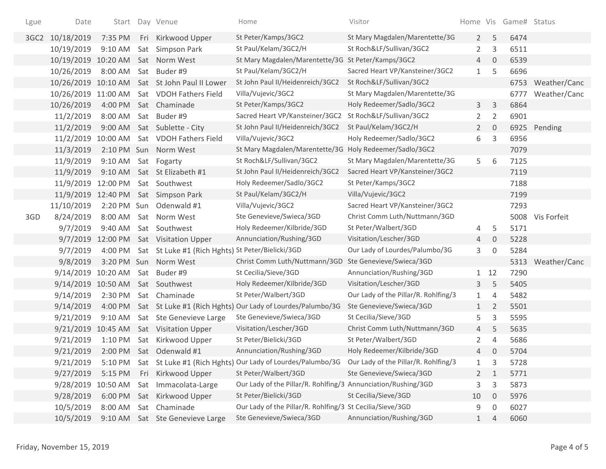| Lgue             | Date                |           | Start Day Venue                                   | Home                                                               | Visitor                              |                       |                | Home Vis Game# Status |                   |
|------------------|---------------------|-----------|---------------------------------------------------|--------------------------------------------------------------------|--------------------------------------|-----------------------|----------------|-----------------------|-------------------|
| 3GC <sub>2</sub> | 10/18/2019          | 7:35 PM   | Fri Kirkwood Upper                                | St Peter/Kamps/3GC2                                                | St Mary Magdalen/Marentette/3G       | $2^{\circ}$           | 5              | 6474                  |                   |
|                  | 10/19/2019          | 9:10 AM   | Sat Simpson Park                                  | St Paul/Kelam/3GC2/H                                               | St Roch&LF/Sullivan/3GC2             | $\mathbf{2}^{\prime}$ | 3              | 6511                  |                   |
|                  | 10/19/2019          | 10:20 AM  | Sat Norm West                                     | St Mary Magdalen/Marentette/3G St Peter/Kamps/3GC2                 |                                      | $\overline{4}$        | $\overline{0}$ | 6539                  |                   |
|                  | 10/26/2019          | 8:00 AM   | Sat Buder #9                                      | St Paul/Kelam/3GC2/H                                               | Sacred Heart VP/Kansteiner/3GC2      | $\mathbf{1}$          | 5              | 6696                  |                   |
|                  | 10/26/2019          | 10:10 AM  | Sat St John Paul II Lower                         | St John Paul II/Heidenreich/3GC2                                   | St Roch&LF/Sullivan/3GC2             |                       |                |                       | 6753 Weather/Canc |
|                  | 10/26/2019 11:00 AM |           | Sat VDOH Fathers Field                            | Villa/Vujevic/3GC2                                                 | St Mary Magdalen/Marentette/3G       |                       |                | 6777                  | Weather/Canc      |
|                  | 10/26/2019          | 4:00 PM   | Sat Chaminade                                     | St Peter/Kamps/3GC2                                                | Holy Redeemer/Sadlo/3GC2             | 3                     | 3              | 6864                  |                   |
|                  | 11/2/2019           | 8:00 AM   | Sat Buder #9                                      | Sacred Heart VP/Kansteiner/3GC2                                    | St Roch&LF/Sullivan/3GC2             | $\overline{2}$        | $\overline{2}$ | 6901                  |                   |
|                  | 11/2/2019           | 9:00 AM   | Sat Sublette - City                               | St John Paul II/Heidenreich/3GC2                                   | St Paul/Kelam/3GC2/H                 | $\mathbf{2}$          | $\overline{0}$ |                       | 6925 Pending      |
|                  | 11/2/2019           | 10:00 AM  | Sat VDOH Fathers Field                            | Villa/Vujevic/3GC2                                                 | Holy Redeemer/Sadlo/3GC2             | 6                     | 3              | 6956                  |                   |
|                  | 11/3/2019           |           | 2:10 PM Sun Norm West                             | St Mary Magdalen/Marentette/3G Holy Redeemer/Sadlo/3GC2            |                                      |                       |                | 7079                  |                   |
|                  | 11/9/2019           | $9:10$ AM | Sat Fogarty                                       | St Roch&LF/Sullivan/3GC2                                           | St Mary Magdalen/Marentette/3G       | 5                     | 6              | 7125                  |                   |
|                  | 11/9/2019           | $9:10$ AM | Sat St Elizabeth #1                               | St John Paul II/Heidenreich/3GC2                                   | Sacred Heart VP/Kansteiner/3GC2      |                       |                | 7119                  |                   |
|                  | 11/9/2019           | 12:00 PM  | Sat Southwest                                     | Holy Redeemer/Sadlo/3GC2                                           | St Peter/Kamps/3GC2                  |                       |                | 7188                  |                   |
|                  | 11/9/2019 12:40 PM  |           | Sat Simpson Park                                  | St Paul/Kelam/3GC2/H                                               | Villa/Vujevic/3GC2                   |                       |                | 7199                  |                   |
|                  | 11/10/2019          |           | 2:20 PM Sun Odenwald #1                           | Villa/Vujevic/3GC2                                                 | Sacred Heart VP/Kansteiner/3GC2      |                       |                | 7293                  |                   |
| 3GD              | 8/24/2019           | 8:00 AM   | Sat Norm West                                     | Ste Genevieve/Swieca/3GD                                           | Christ Comm Luth/Nuttmann/3GD        |                       |                |                       | 5008 Vis Forfeit  |
|                  | 9/7/2019            | 9:40 AM   | Sat Southwest                                     | Holy Redeemer/Kilbride/3GD                                         | St Peter/Walbert/3GD                 | 4                     | 5              | 5171                  |                   |
|                  | 9/7/2019            | 12:00 PM  | Sat Visitation Upper                              | Annunciation/Rushing/3GD                                           | Visitation/Lescher/3GD               | 4                     | 0              | 5228                  |                   |
|                  | 9/7/2019            | 4:00 PM   | Sat St Luke #1 (Rich Hghts) St Peter/Bielicki/3GD |                                                                    | Our Lady of Lourdes/Palumbo/3G       | 3                     | $\mathbf 0$    | 5284                  |                   |
|                  | 9/8/2019            |           | 3:20 PM Sun Norm West                             | Christ Comm Luth/Nuttmann/3GD                                      | Ste Genevieve/Swieca/3GD             |                       |                |                       | 5313 Weather/Canc |
|                  | 9/14/2019 10:20 AM  |           | Sat Buder #9                                      | St Cecilia/Sieve/3GD                                               | Annunciation/Rushing/3GD             |                       | 1 12           | 7290                  |                   |
|                  | 9/14/2019           | 10:50 AM  | Sat Southwest                                     | Holy Redeemer/Kilbride/3GD                                         | Visitation/Lescher/3GD               | 3                     | 5              | 5405                  |                   |
|                  | 9/14/2019           | 2:30 PM   | Sat Chaminade                                     | St Peter/Walbert/3GD                                               | Our Lady of the Pillar/R. Rohlfing/3 | $\mathbf{1}$          | 4              | 5482                  |                   |
|                  | 9/14/2019           | 4:00 PM   |                                                   | Sat St Luke #1 (Rich Hghts) Our Lady of Lourdes/Palumbo/3G         | Ste Genevieve/Swieca/3GD             | $\mathbf{1}$          | 2              | 5501                  |                   |
|                  | 9/21/2019           | 9:10 AM   | Sat Ste Genevieve Large                           | Ste Genevieve/Swieca/3GD                                           | St Cecilia/Sieve/3GD                 | 5                     | 3              | 5595                  |                   |
|                  | 9/21/2019           | 10:45 AM  | Sat Visitation Upper                              | Visitation/Lescher/3GD                                             | Christ Comm Luth/Nuttmann/3GD        | 4                     | 5              | 5635                  |                   |
|                  | 9/21/2019           | 1:10 PM   | Sat Kirkwood Upper                                | St Peter/Bielicki/3GD                                              | St Peter/Walbert/3GD                 | 2                     | 4              | 5686                  |                   |
|                  | 9/21/2019           |           | 2:00 PM Sat Odenwald #1                           | Annunciation/Rushing/3GD                                           | Holy Redeemer/Kilbride/3GD           | 4                     | $\mathbf{0}$   | 5704                  |                   |
|                  | 9/21/2019           |           |                                                   | 5:10 PM Sat St Luke #1 (Rich Hghts) Our Lady of Lourdes/Palumbo/3G | Our Lady of the Pillar/R. Rohlfing/3 |                       | 3              | 5728                  |                   |
|                  | 9/27/2019           | 5:15 PM   | Fri Kirkwood Upper                                | St Peter/Walbert/3GD                                               | Ste Genevieve/Swieca/3GD             | $\mathbf{2}$          | 1              | 5771                  |                   |
|                  | 9/28/2019           | 10:50 AM  | Sat Immacolata-Large                              | Our Lady of the Pillar/R. Rohlfing/3 Annunciation/Rushing/3GD      |                                      | 3                     | 3              | 5873                  |                   |
|                  | 9/28/2019           | 6:00 PM   | Sat Kirkwood Upper                                | St Peter/Bielicki/3GD                                              | St Cecilia/Sieve/3GD                 | 10                    | 0              | 5976                  |                   |
|                  | 10/5/2019           | 8:00 AM   | Sat Chaminade                                     | Our Lady of the Pillar/R. Rohlfing/3 St Cecilia/Sieve/3GD          |                                      | 9                     | 0              | 6027                  |                   |
|                  | 10/5/2019           | 9:10 AM   | Sat Ste Genevieve Large                           | Ste Genevieve/Swieca/3GD                                           | Annunciation/Rushing/3GD             | $\mathbf{1}$          | 4              | 6060                  |                   |